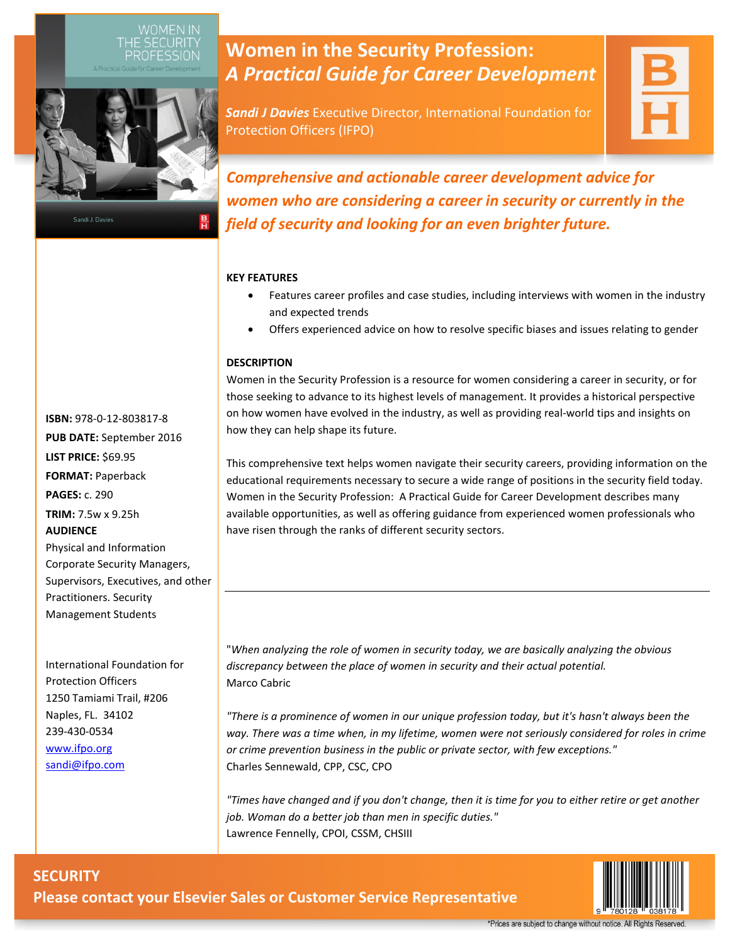

Sandi J. Davies

# **Women in the Security Profession:** *A Practical Guide for Career Development*

*Sandi J Davies* Executive Director, International Foundation for Protection Officers (IFPO)

*Comprehensive and actionable career development advice for women who are considering a career in security or currently in the field of security and looking for an even brighter future.*

### **KEY FEATURES**

- Features career profiles and case studies, including interviews with women in the industry and expected trends
- Offers experienced advice on how to resolve specific biases and issues relating to gender

### **DESCRIPTION**

Women in the Security Profession is a resource for women considering a career in security, or for those seeking to advance to its highest levels of management. It provides a historical perspective on how women have evolved in the industry, as well as providing real-world tips and insights on how they can help shape its future.

This comprehensive text helps women navigate their security careers, providing information on the educational requirements necessary to secure a wide range of positions in the security field today. Women in the Security Profession: A Practical Guide for Career Development describes many available opportunities, as well as offering guidance from experienced women professionals who have risen through the ranks of different security sectors.

"*When analyzing the role of women in security today, we are basically analyzing the obvious discrepancy between the place of women in security and their actual potential.* Marco Cabric

*"There is a prominence of women in our unique profession today, but it's hasn't always been the way. There was a time when, in my lifetime, women were not seriously considered for roles in crime or crime prevention business in the public or private sector, with few exceptions."*  Charles Sennewald, CPP, CSC, CPO

*"Times have changed and if you don't change, then it is time for you to either retire or get another job. Woman do a better job than men in specific duties."* Lawrence Fennelly, CPOI, CSSM, CHSIII



**PUB DATE:** September 2016 **LIST PRICE:** \$69.95 **FORMAT:** Paperback **PAGES:** c. 290 **TRIM:** 7.5w x 9.25h **AUDIENCE** Physical and Information Corporate Security Managers, Supervisors, Executives, and other Practitioners. Security Management Students

**ISBN:** 978-0-12-803817-8

International Foundation for Protection Officers 1250 Tamiami Trail, #206 Naples, FL. 34102 239-430-0534 [www.ifpo.org](http://www.ifpo.org/) [sandi@ifpo.com](mailto:sandi@ifpo.com)